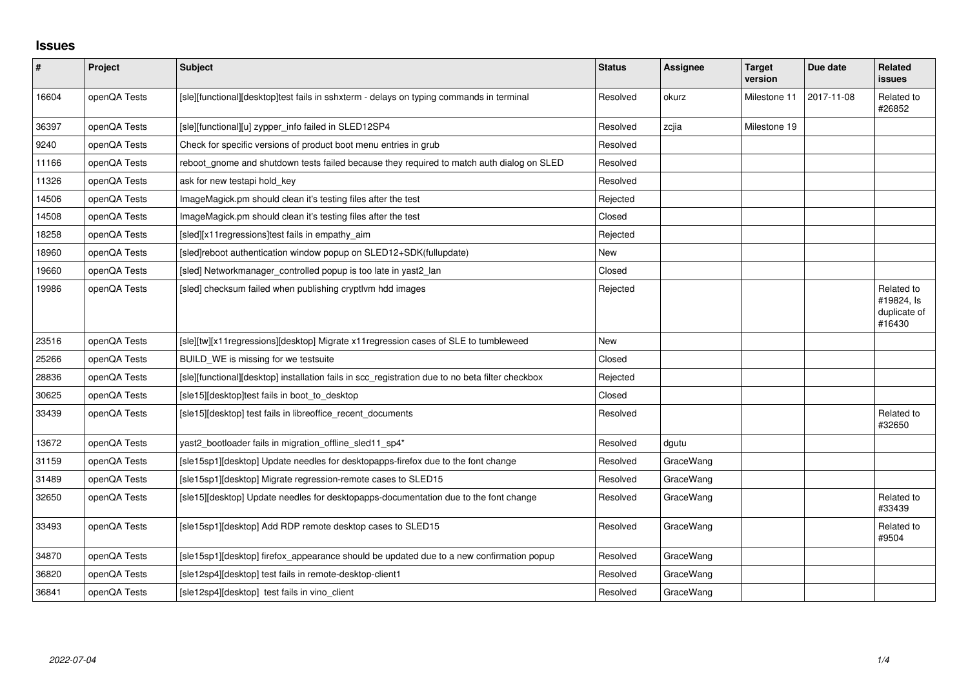## **Issues**

| $\vert$ # | Project      | Subject                                                                                          | <b>Status</b> | <b>Assignee</b> | <b>Target</b><br>version | Due date   | <b>Related</b><br><b>issues</b>                    |
|-----------|--------------|--------------------------------------------------------------------------------------------------|---------------|-----------------|--------------------------|------------|----------------------------------------------------|
| 16604     | openQA Tests | [sle][functional][desktop]test fails in sshxterm - delays on typing commands in terminal         | Resolved      | okurz           | Milestone 11             | 2017-11-08 | Related to<br>#26852                               |
| 36397     | openQA Tests | [sle][functional][u] zypper_info failed in SLED12SP4                                             | Resolved      | zcjia           | Milestone 19             |            |                                                    |
| 9240      | openQA Tests | Check for specific versions of product boot menu entries in grub                                 | Resolved      |                 |                          |            |                                                    |
| 11166     | openQA Tests | reboot_gnome and shutdown tests failed because they required to match auth dialog on SLED        | Resolved      |                 |                          |            |                                                    |
| 11326     | openQA Tests | ask for new testapi hold key                                                                     | Resolved      |                 |                          |            |                                                    |
| 14506     | openQA Tests | ImageMagick.pm should clean it's testing files after the test                                    | Rejected      |                 |                          |            |                                                    |
| 14508     | openQA Tests | ImageMagick.pm should clean it's testing files after the test                                    | Closed        |                 |                          |            |                                                    |
| 18258     | openQA Tests | [sled][x11regressions]test fails in empathy_aim                                                  | Rejected      |                 |                          |            |                                                    |
| 18960     | openQA Tests | [sled]reboot authentication window popup on SLED12+SDK(fullupdate)                               | New           |                 |                          |            |                                                    |
| 19660     | openQA Tests | [sled] Networkmanager_controlled popup is too late in yast2_lan                                  | Closed        |                 |                          |            |                                                    |
| 19986     | openQA Tests | [sled] checksum failed when publishing cryptlvm hdd images                                       | Rejected      |                 |                          |            | Related to<br>#19824, Is<br>duplicate of<br>#16430 |
| 23516     | openQA Tests | [sle][tw][x11regressions][desktop] Migrate x11regression cases of SLE to tumbleweed              | New           |                 |                          |            |                                                    |
| 25266     | openQA Tests | BUILD_WE is missing for we testsuite                                                             | Closed        |                 |                          |            |                                                    |
| 28836     | openQA Tests | [sle][functional][desktop] installation fails in scc_registration due to no beta filter checkbox | Rejected      |                 |                          |            |                                                    |
| 30625     | openQA Tests | [sle15][desktop]test fails in boot_to_desktop                                                    | Closed        |                 |                          |            |                                                    |
| 33439     | openQA Tests | [sle15][desktop] test fails in libreoffice_recent_documents                                      | Resolved      |                 |                          |            | Related to<br>#32650                               |
| 13672     | openQA Tests | yast2_bootloader fails in migration_offline_sled11_sp4*                                          | Resolved      | dgutu           |                          |            |                                                    |
| 31159     | openQA Tests | [sle15sp1][desktop] Update needles for desktopapps-firefox due to the font change                | Resolved      | GraceWang       |                          |            |                                                    |
| 31489     | openQA Tests | [sle15sp1][desktop] Migrate regression-remote cases to SLED15                                    | Resolved      | GraceWang       |                          |            |                                                    |
| 32650     | openQA Tests | [sle15][desktop] Update needles for desktopapps-documentation due to the font change             | Resolved      | GraceWang       |                          |            | Related to<br>#33439                               |
| 33493     | openQA Tests | [sle15sp1][desktop] Add RDP remote desktop cases to SLED15                                       | Resolved      | GraceWang       |                          |            | Related to<br>#9504                                |
| 34870     | openQA Tests | [sle15sp1][desktop] firefox_appearance should be updated due to a new confirmation popup         | Resolved      | GraceWang       |                          |            |                                                    |
| 36820     | openQA Tests | [sle12sp4][desktop] test fails in remote-desktop-client1                                         | Resolved      | GraceWang       |                          |            |                                                    |
| 36841     | openQA Tests | [sle12sp4][desktop] test fails in vino_client                                                    | Resolved      | GraceWang       |                          |            |                                                    |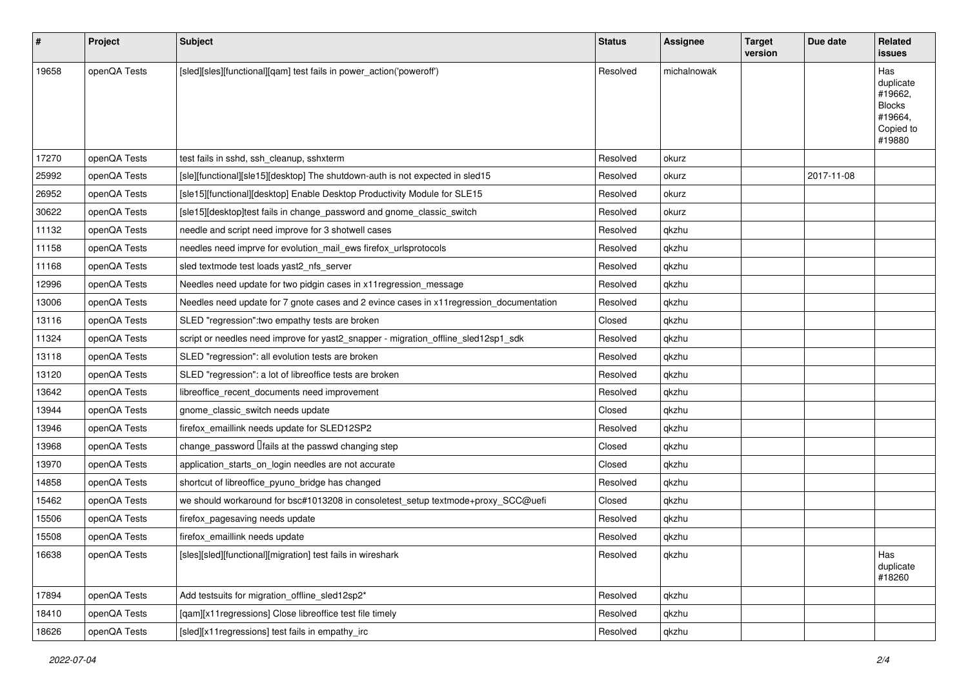| #     | Project      | <b>Subject</b>                                                                           | <b>Status</b> | <b>Assignee</b> | <b>Target</b><br>version | Due date   | Related<br><b>issues</b>                                                       |
|-------|--------------|------------------------------------------------------------------------------------------|---------------|-----------------|--------------------------|------------|--------------------------------------------------------------------------------|
| 19658 | openQA Tests | [sled][sles][functional][qam] test fails in power_action('poweroff')                     | Resolved      | michalnowak     |                          |            | Has<br>duplicate<br>#19662,<br><b>Blocks</b><br>#19664,<br>Copied to<br>#19880 |
| 17270 | openQA Tests | test fails in sshd, ssh cleanup, sshxterm                                                | Resolved      | okurz           |                          |            |                                                                                |
| 25992 | openQA Tests | [sle][functional][sle15][desktop] The shutdown-auth is not expected in sled15            | Resolved      | okurz           |                          | 2017-11-08 |                                                                                |
| 26952 | openQA Tests | [sle15][functional][desktop] Enable Desktop Productivity Module for SLE15                | Resolved      | okurz           |                          |            |                                                                                |
| 30622 | openQA Tests | [sle15][desktop]test fails in change_password and gnome_classic_switch                   | Resolved      | okurz           |                          |            |                                                                                |
| 11132 | openQA Tests | needle and script need improve for 3 shotwell cases                                      | Resolved      | qkzhu           |                          |            |                                                                                |
| 11158 | openQA Tests | needles need imprve for evolution_mail_ews firefox_urlsprotocols                         | Resolved      | qkzhu           |                          |            |                                                                                |
| 11168 | openQA Tests | sled textmode test loads yast2_nfs_server                                                | Resolved      | qkzhu           |                          |            |                                                                                |
| 12996 | openQA Tests | Needles need update for two pidgin cases in x11 regression_message                       | Resolved      | qkzhu           |                          |            |                                                                                |
| 13006 | openQA Tests | Needles need update for 7 gnote cases and 2 evince cases in x11 regression_documentation | Resolved      | qkzhu           |                          |            |                                                                                |
| 13116 | openQA Tests | SLED "regression": two empathy tests are broken                                          | Closed        | qkzhu           |                          |            |                                                                                |
| 11324 | openQA Tests | script or needles need improve for yast2 snapper - migration offline sled12sp1 sdk       | Resolved      | qkzhu           |                          |            |                                                                                |
| 13118 | openQA Tests | SLED "regression": all evolution tests are broken                                        | Resolved      | qkzhu           |                          |            |                                                                                |
| 13120 | openQA Tests | SLED "regression": a lot of libreoffice tests are broken                                 | Resolved      | qkzhu           |                          |            |                                                                                |
| 13642 | openQA Tests | libreoffice recent documents need improvement                                            | Resolved      | qkzhu           |                          |            |                                                                                |
| 13944 | openQA Tests | gnome_classic_switch needs update                                                        | Closed        | qkzhu           |                          |            |                                                                                |
| 13946 | openQA Tests | firefox_emaillink needs update for SLED12SP2                                             | Resolved      | qkzhu           |                          |            |                                                                                |
| 13968 | openQA Tests | change_password <i>Ifails</i> at the passwd changing step                                | Closed        | qkzhu           |                          |            |                                                                                |
| 13970 | openQA Tests | application_starts_on_login needles are not accurate                                     | Closed        | qkzhu           |                          |            |                                                                                |
| 14858 | openQA Tests | shortcut of libreoffice_pyuno_bridge has changed                                         | Resolved      | qkzhu           |                          |            |                                                                                |
| 15462 | openQA Tests | we should workaround for bsc#1013208 in consoletest_setup textmode+proxy_SCC@uefi        | Closed        | qkzhu           |                          |            |                                                                                |
| 15506 | openQA Tests | firefox_pagesaving needs update                                                          | Resolved      | qkzhu           |                          |            |                                                                                |
| 15508 | openQA Tests | firefox_emaillink needs update                                                           | Resolved      | qkzhu           |                          |            |                                                                                |
| 16638 | openQA Tests | [sles][sled][functional][migration] test fails in wireshark                              | Resolved      | qkzhu           |                          |            | Has<br>duplicate<br>#18260                                                     |
| 17894 | openQA Tests | Add testsuits for migration offline sled12sp2*                                           | Resolved      | qkzhu           |                          |            |                                                                                |
| 18410 | openQA Tests | [qam][x11 regressions] Close libreoffice test file timely                                | Resolved      | qkzhu           |                          |            |                                                                                |
| 18626 | openQA Tests | [sled][x11regressions] test fails in empathy_irc                                         | Resolved      | qkzhu           |                          |            |                                                                                |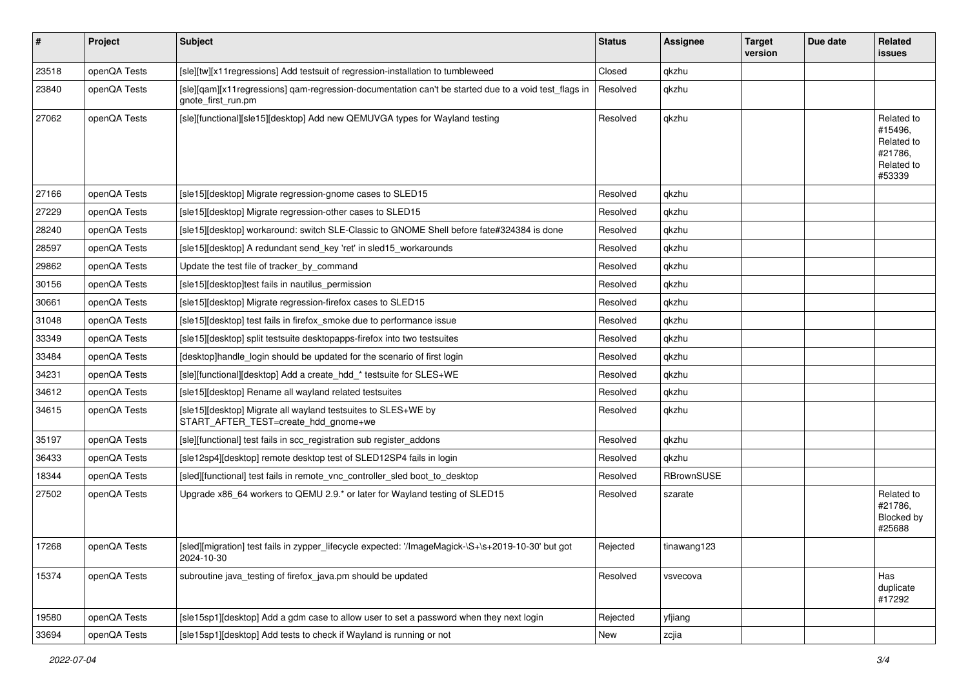| $\sharp$ | Project      | <b>Subject</b>                                                                                                             | <b>Status</b> | <b>Assignee</b> | <b>Target</b><br>version | Due date | Related<br><b>issues</b>                                               |
|----------|--------------|----------------------------------------------------------------------------------------------------------------------------|---------------|-----------------|--------------------------|----------|------------------------------------------------------------------------|
| 23518    | openQA Tests | [sle][tw][x11regressions] Add testsuit of regression-installation to tumbleweed                                            | Closed        | qkzhu           |                          |          |                                                                        |
| 23840    | openQA Tests | [sle][gam][x11regressions] gam-regression-documentation can't be started due to a void test flags in<br>gnote_first_run.pm | Resolved      | qkzhu           |                          |          |                                                                        |
| 27062    | openQA Tests | [sle][functional][sle15][desktop] Add new QEMUVGA types for Wayland testing                                                | Resolved      | qkzhu           |                          |          | Related to<br>#15496,<br>Related to<br>#21786,<br>Related to<br>#53339 |
| 27166    | openQA Tests | [sle15][desktop] Migrate regression-gnome cases to SLED15                                                                  | Resolved      | qkzhu           |                          |          |                                                                        |
| 27229    | openQA Tests | [sle15][desktop] Migrate regression-other cases to SLED15                                                                  | Resolved      | qkzhu           |                          |          |                                                                        |
| 28240    | openQA Tests | [sle15][desktop] workaround: switch SLE-Classic to GNOME Shell before fate#324384 is done                                  | Resolved      | qkzhu           |                          |          |                                                                        |
| 28597    | openQA Tests | [sle15][desktop] A redundant send_key 'ret' in sled15_workarounds                                                          | Resolved      | qkzhu           |                          |          |                                                                        |
| 29862    | openQA Tests | Update the test file of tracker_by_command                                                                                 | Resolved      | qkzhu           |                          |          |                                                                        |
| 30156    | openQA Tests | [sle15][desktop]test fails in nautilus_permission                                                                          | Resolved      | qkzhu           |                          |          |                                                                        |
| 30661    | openQA Tests | [sle15][desktop] Migrate regression-firefox cases to SLED15                                                                | Resolved      | qkzhu           |                          |          |                                                                        |
| 31048    | openQA Tests | [sle15][desktop] test fails in firefox_smoke due to performance issue                                                      | Resolved      | qkzhu           |                          |          |                                                                        |
| 33349    | openQA Tests | [sle15][desktop] split testsuite desktopapps-firefox into two testsuites                                                   | Resolved      | qkzhu           |                          |          |                                                                        |
| 33484    | openQA Tests | [desktop]handle_login should be updated for the scenario of first login                                                    | Resolved      | qkzhu           |                          |          |                                                                        |
| 34231    | openQA Tests | [sle][functional][desktop] Add a create_hdd_* testsuite for SLES+WE                                                        | Resolved      | qkzhu           |                          |          |                                                                        |
| 34612    | openQA Tests | [sle15][desktop] Rename all wayland related testsuites                                                                     | Resolved      | qkzhu           |                          |          |                                                                        |
| 34615    | openQA Tests | [sle15][desktop] Migrate all wayland testsuites to SLES+WE by<br>START_AFTER_TEST=create_hdd_gnome+we                      | Resolved      | qkzhu           |                          |          |                                                                        |
| 35197    | openQA Tests | [sle][functional] test fails in scc_registration sub register_addons                                                       | Resolved      | qkzhu           |                          |          |                                                                        |
| 36433    | openQA Tests | [sle12sp4][desktop] remote desktop test of SLED12SP4 fails in login                                                        | Resolved      | qkzhu           |                          |          |                                                                        |
| 18344    | openQA Tests | [sled][functional] test fails in remote_vnc_controller_sled boot_to_desktop                                                | Resolved      | RBrownSUSE      |                          |          |                                                                        |
| 27502    | openQA Tests | Upgrade x86_64 workers to QEMU 2.9.* or later for Wayland testing of SLED15                                                | Resolved      | szarate         |                          |          | Related to<br>#21786,<br>Blocked by<br>#25688                          |
| 17268    | openQA Tests | [sled][migration] test fails in zypper_lifecycle expected: '/ImageMagick-\S+\s+2019-10-30' but got<br>2024-10-30           | Rejected      | tinawang123     |                          |          |                                                                        |
| 15374    | openQA Tests | subroutine java_testing of firefox_java.pm should be updated                                                               | Resolved      | vsvecova        |                          |          | Has<br>duplicate<br>#17292                                             |
| 19580    | openQA Tests | [sle15sp1][desktop] Add a gdm case to allow user to set a password when they next login                                    | Rejected      | yfjiang         |                          |          |                                                                        |
| 33694    | openQA Tests | [sle15sp1][desktop] Add tests to check if Wayland is running or not                                                        | New           | zcjia           |                          |          |                                                                        |